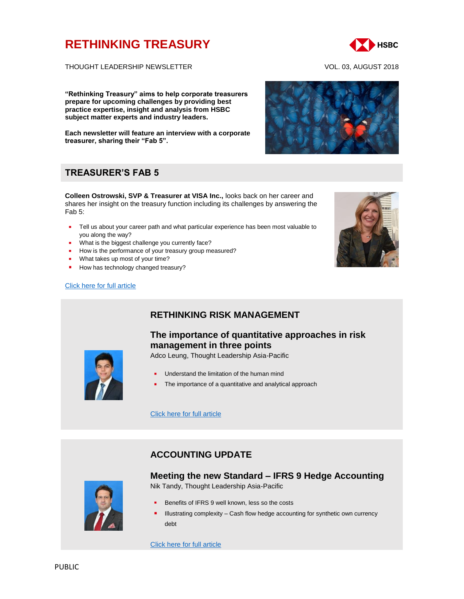# **[RETHINKING TREASURY](http://www.gbm.hsbc.com/the-new-future#rethinking-treasury)**



THOUGHT LEADERSHIP NEWSLETTER VOL. 03, AUGUST 2018

**"Rethinking Treasury" aims to help corporate treasurers prepare for upcoming challenges by providing best practice expertise, insight and analysis from HSBC subject matter experts and industry leaders.** 

**Each newsletter will feature an interview with a corporate treasurer, sharing their "Fab 5".**

## **TREASURER'S FAB 5**

**Colleen Ostrowski, SVP & Treasurer at VISA Inc.,** looks back on her career and shares her insight on the treasury function including its challenges by answering the Fab 5:

- **Tell us about your career path and what particular experience has been most valuable to** you along the way?
- What is the biggest challenge you currently face?
- How is the performance of your treasury group measured?
- **What takes up most of your time?**
- How has technology changed treasury?

#### [Click here for full article](https://www.gbm.hsbc.com/insights/markets/in-conversation-with-svp-and-treasurer-colleen-ostrowski)





## **RETHINKING RISK MANAGEMENT**

## **The importance of quantitative approaches in risk management in three points**

Adco Leung, Thought Leadership Asia-Pacific



- Understand the limitation of the human mind
- The importance of a quantitative and analytical approach

[Click here for full article](http://www.gbm.hsbc.com/insights/markets/the-importance-of-quantitative-approaches-in-risk-management-in-three-points)

## **ACCOUNTING UPDATE**

### **Meeting the new Standard – IFRS 9 Hedge Accounting**



Nik Tandy, Thought Leadership Asia-Pacific

- Benefits of IFRS 9 well known, less so the costs
- Illustrating complexity Cash flow hedge accounting for synthetic own currency debt

[Click here for full article](https://www.gbm.hsbc.com/insights/markets/meeting-the-new-standard-ifrs9-hedge-accounting)